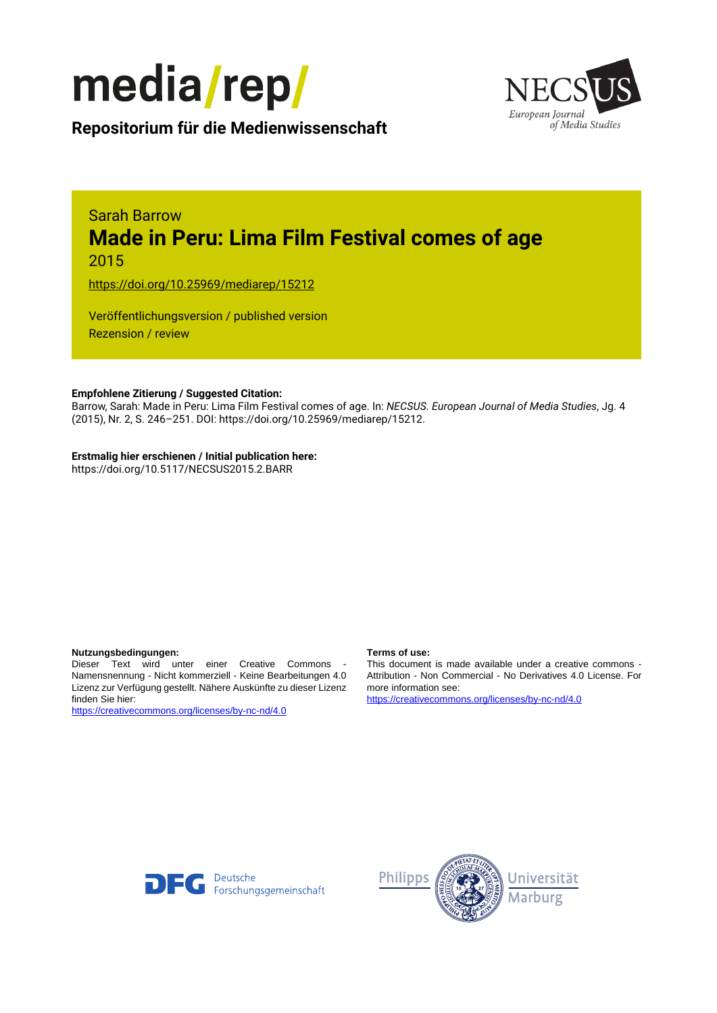



**Repositorium für die [Medienwissenschaft](https://mediarep.org)**

# Sarah Barrow **Made in Peru: Lima Film Festival comes of age** 2015

<https://doi.org/10.25969/mediarep/15212>

Veröffentlichungsversion / published version Rezension / review

#### **Empfohlene Zitierung / Suggested Citation:**

Barrow, Sarah: Made in Peru: Lima Film Festival comes of age. In: *NECSUS. European Journal of Media Studies*, Jg. 4 (2015), Nr. 2, S. 246–251. DOI: https://doi.org/10.25969/mediarep/15212.

#### **Erstmalig hier erschienen / Initial publication here:**

https://doi.org/10.5117/NECSUS2015.2.BARR

#### **Nutzungsbedingungen: Terms of use:**

Dieser Text wird unter einer Creative Commons - Namensnennung - Nicht kommerziell - Keine Bearbeitungen 4.0 Lizenz zur Verfügung gestellt. Nähere Auskünfte zu dieser Lizenz finden Sie hier:

<https://creativecommons.org/licenses/by-nc-nd/4.0>

This document is made available under a creative commons - Attribution - Non Commercial - No Derivatives 4.0 License. For more information see:

<https://creativecommons.org/licenses/by-nc-nd/4.0>



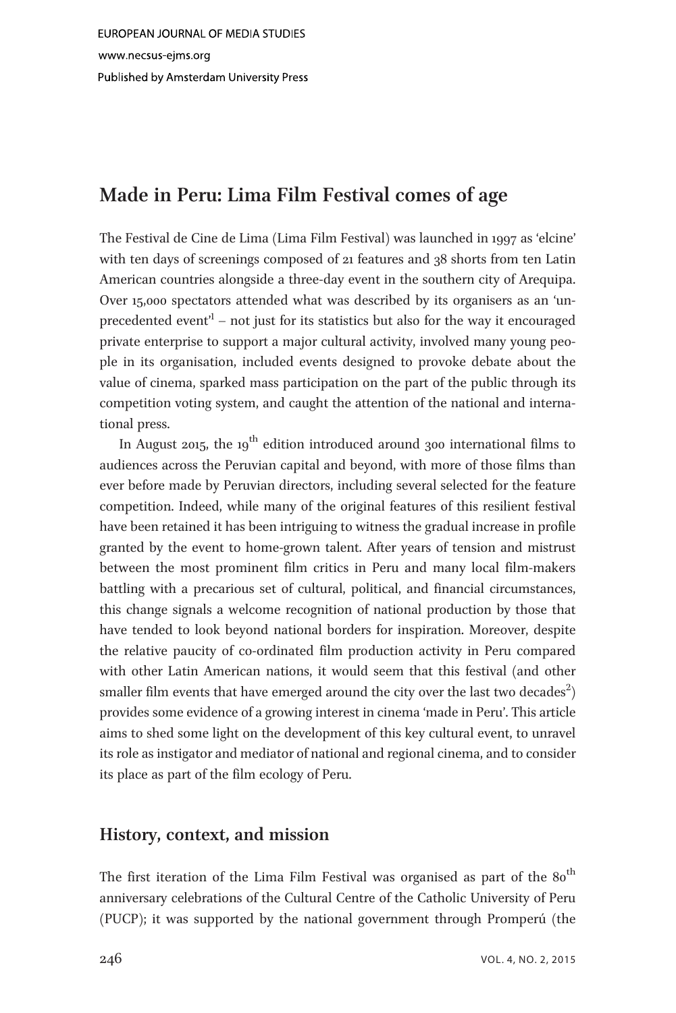# Made in Peru: Lima Film Festival comes of age

The Festival de Cine de Lima (Lima Film Festival) was launched in 1997 as 'elcine' with ten days of screenings composed of 21 features and 38 shorts from ten Latin American countries alongside a three-day event in the southern city of Arequipa. Over 15,000 spectators attended what was described by its organisers as an 'unprecedented event<sup>1</sup> – not just for its statistics but also for the way it encouraged private enterprise to support a major cultural activity, involved many young people in its organisation, included events designed to provoke debate about the value of cinema, sparked mass participation on the part of the public through its competition voting system, and caught the attention of the national and international press.

In August 2015, the 19<sup>th</sup> edition introduced around 300 international films to audiences across the Peruvian capital and beyond, with more of those films than ever before made by Peruvian directors, including several selected for the feature competition. Indeed, while many of the original features of this resilient festival have been retained it has been intriguing to witness the gradual increase in profile granted by the event to home-grown talent. After years of tension and mistrust between the most prominent film critics in Peru and many local film-makers battling with a precarious set of cultural, political, and financial circumstances, this change signals a welcome recognition of national production by those that have tended to look beyond national borders for inspiration. Moreover, despite the relative paucity of co-ordinated film production activity in Peru compared with other Latin American nations, it would seem that this festival (and other smaller film events that have emerged around the city over the last two decades $^2)$ provides some evidence of a growing interest in cinema 'made in Peru'. This article aims to shed some light on the development of this key cultural event, to unravel its role as instigator and mediator of national and regional cinema, and to consider its place as part of the film ecology of Peru.

## History, context, and mission

The first iteration of the Lima Film Festival was organised as part of the  $80<sup>th</sup>$ anniversary celebrations of the Cultural Centre of the Catholic University of Peru (PUCP); it was supported by the national government through Promperú (the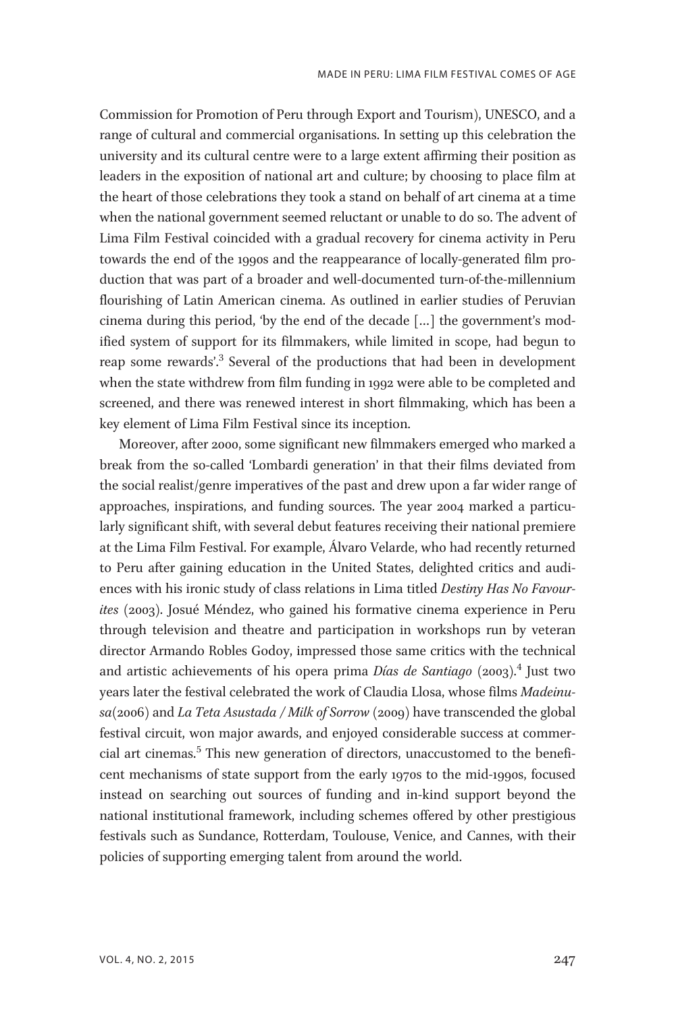Commission for Promotion of Peru through Export and Tourism), UNESCO, and a range of cultural and commercial organisations. In setting up this celebration the university and its cultural centre were to a large extent affirming their position as leaders in the exposition of national art and culture; by choosing to place film at the heart of those celebrations they took a stand on behalf of art cinema at a time when the national government seemed reluctant or unable to do so. The advent of Lima Film Festival coincided with a gradual recovery for cinema activity in Peru towards the end of the 1990s and the reappearance of locally-generated film production that was part of a broader and well-documented turn-of-the-millennium flourishing of Latin American cinema. As outlined in earlier studies of Peruvian cinema during this period, 'by the end of the decade […] the government's modified system of support for its filmmakers, while limited in scope, had begun to reap some rewards'. <sup>3</sup> Several of the productions that had been in development when the state withdrew from film funding in 1992 were able to be completed and screened, and there was renewed interest in short filmmaking, which has been a key element of Lima Film Festival since its inception.

Moreover, after 2000, some significant new filmmakers emerged who marked a break from the so-called 'Lombardi generation' in that their films deviated from the social realist/genre imperatives of the past and drew upon a far wider range of approaches, inspirations, and funding sources. The year 2004 marked a particularly significant shift, with several debut features receiving their national premiere at the Lima Film Festival. For example, Álvaro Velarde, who had recently returned to Peru after gaining education in the United States, delighted critics and audiences with his ironic study of class relations in Lima titled Destiny Has No Favourites (2003). Josué Méndez, who gained his formative cinema experience in Peru through television and theatre and participation in workshops run by veteran director Armando Robles Godoy, impressed those same critics with the technical and artistic achievements of his opera prima *Días de Santiago* (2003).<sup>4</sup> Just two years later the festival celebrated the work of Claudia Llosa, whose films Madeinusa(2006) and La Teta Asustada / Milk of Sorrow (2009) have transcended the global festival circuit, won major awards, and enjoyed considerable success at commercial art cinemas.<sup>5</sup> This new generation of directors, unaccustomed to the beneficent mechanisms of state support from the early 1970s to the mid-1990s, focused instead on searching out sources of funding and in-kind support beyond the national institutional framework, including schemes offered by other prestigious festivals such as Sundance, Rotterdam, Toulouse, Venice, and Cannes, with their policies of supporting emerging talent from around the world.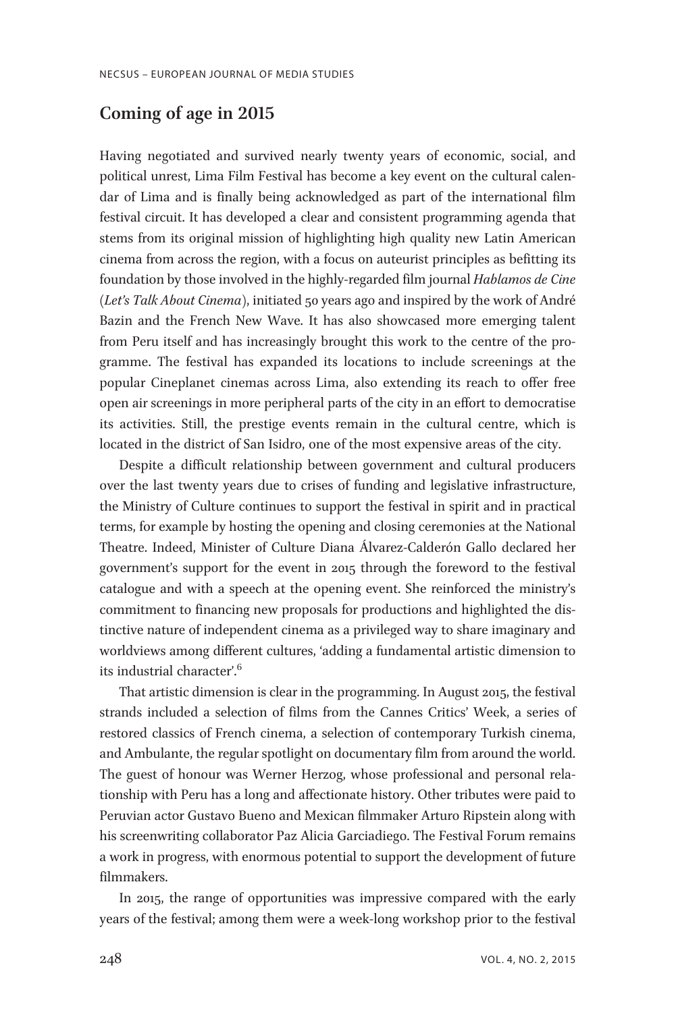## Coming of age in 2015

Having negotiated and survived nearly twenty years of economic, social, and political unrest, Lima Film Festival has become a key event on the cultural calendar of Lima and is finally being acknowledged as part of the international film festival circuit. It has developed a clear and consistent programming agenda that stems from its original mission of highlighting high quality new Latin American cinema from across the region, with a focus on auteurist principles as befitting its foundation by those involved in the highly-regarded film journal Hablamos de Cine (Let's Talk About Cinema), initiated 50 years ago and inspired by the work of André Bazin and the French New Wave. It has also showcased more emerging talent from Peru itself and has increasingly brought this work to the centre of the programme. The festival has expanded its locations to include screenings at the popular Cineplanet cinemas across Lima, also extending its reach to offer free open air screenings in more peripheral parts of the city in an effort to democratise its activities. Still, the prestige events remain in the cultural centre, which is located in the district of San Isidro, one of the most expensive areas of the city.

Despite a difficult relationship between government and cultural producers over the last twenty years due to crises of funding and legislative infrastructure, the Ministry of Culture continues to support the festival in spirit and in practical terms, for example by hosting the opening and closing ceremonies at the National Theatre. Indeed, Minister of Culture Diana Álvarez-Calderón Gallo declared her government's support for the event in 2015 through the foreword to the festival catalogue and with a speech at the opening event. She reinforced the ministry's commitment to financing new proposals for productions and highlighted the distinctive nature of independent cinema as a privileged way to share imaginary and worldviews among different cultures, 'adding a fundamental artistic dimension to its industrial character'.<sup>6</sup>

That artistic dimension is clear in the programming. In August 2015, the festival strands included a selection of films from the Cannes Critics' Week, a series of restored classics of French cinema, a selection of contemporary Turkish cinema, and Ambulante, the regular spotlight on documentary film from around the world. The guest of honour was Werner Herzog, whose professional and personal relationship with Peru has a long and affectionate history. Other tributes were paid to Peruvian actor Gustavo Bueno and Mexican filmmaker Arturo Ripstein along with his screenwriting collaborator Paz Alicia Garciadiego. The Festival Forum remains a work in progress, with enormous potential to support the development of future filmmakers.

In 2015, the range of opportunities was impressive compared with the early years of the festival; among them were a week-long workshop prior to the festival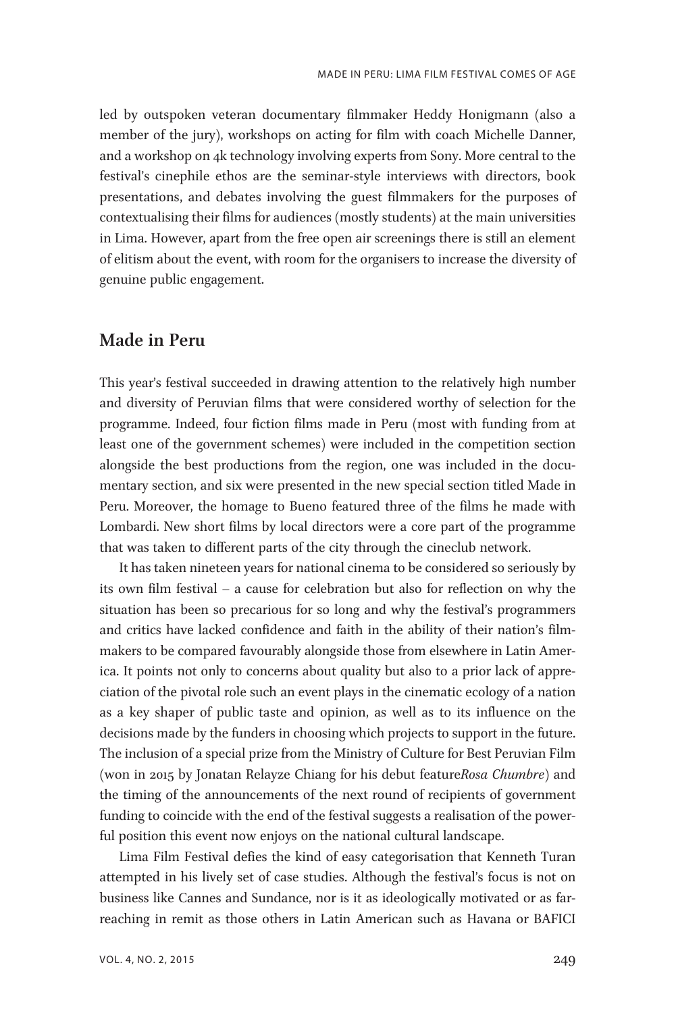led by outspoken veteran documentary filmmaker Heddy Honigmann (also a member of the jury), workshops on acting for film with coach Michelle Danner, and a workshop on 4k technology involving experts from Sony. More central to the festival's cinephile ethos are the seminar-style interviews with directors, book presentations, and debates involving the guest filmmakers for the purposes of contextualising their films for audiences (mostly students) at the main universities in Lima. However, apart from the free open air screenings there is still an element of elitism about the event, with room for the organisers to increase the diversity of genuine public engagement.

## Made in Peru

This year's festival succeeded in drawing attention to the relatively high number and diversity of Peruvian films that were considered worthy of selection for the programme. Indeed, four fiction films made in Peru (most with funding from at least one of the government schemes) were included in the competition section alongside the best productions from the region, one was included in the documentary section, and six were presented in the new special section titled Made in Peru. Moreover, the homage to Bueno featured three of the films he made with Lombardi. New short films by local directors were a core part of the programme that was taken to different parts of the city through the cineclub network.

It has taken nineteen years for national cinema to be considered so seriously by its own film festival – a cause for celebration but also for reflection on why the situation has been so precarious for so long and why the festival's programmers and critics have lacked confidence and faith in the ability of their nation's filmmakers to be compared favourably alongside those from elsewhere in Latin America. It points not only to concerns about quality but also to a prior lack of appreciation of the pivotal role such an event plays in the cinematic ecology of a nation as a key shaper of public taste and opinion, as well as to its influence on the decisions made by the funders in choosing which projects to support in the future. The inclusion of a special prize from the Ministry of Culture for Best Peruvian Film (won in 2015 by Jonatan Relayze Chiang for his debut featureRosa Chumbre) and the timing of the announcements of the next round of recipients of government funding to coincide with the end of the festival suggests a realisation of the powerful position this event now enjoys on the national cultural landscape.

Lima Film Festival defies the kind of easy categorisation that Kenneth Turan attempted in his lively set of case studies. Although the festival's focus is not on business like Cannes and Sundance, nor is it as ideologically motivated or as farreaching in remit as those others in Latin American such as Havana or BAFICI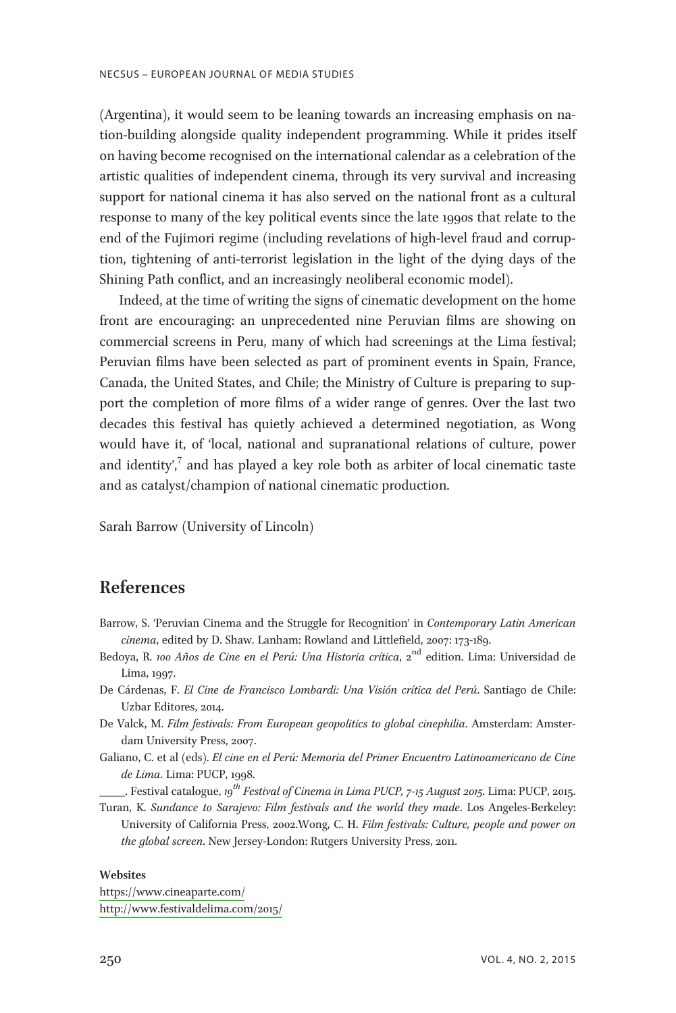(Argentina), it would seem to be leaning towards an increasing emphasis on nation-building alongside quality independent programming. While it prides itself on having become recognised on the international calendar as a celebration of the artistic qualities of independent cinema, through its very survival and increasing support for national cinema it has also served on the national front as a cultural response to many of the key political events since the late 1990s that relate to the end of the Fujimori regime (including revelations of high-level fraud and corruption, tightening of anti-terrorist legislation in the light of the dying days of the Shining Path conflict, and an increasingly neoliberal economic model).

Indeed, at the time of writing the signs of cinematic development on the home front are encouraging: an unprecedented nine Peruvian films are showing on commercial screens in Peru, many of which had screenings at the Lima festival; Peruvian films have been selected as part of prominent events in Spain, France, Canada, the United States, and Chile; the Ministry of Culture is preparing to support the completion of more films of a wider range of genres. Over the last two decades this festival has quietly achieved a determined negotiation, as Wong would have it, of 'local, national and supranational relations of culture, power and identity',<sup>7</sup> and has played a key role both as arbiter of local cinematic taste and as catalyst/champion of national cinematic production.

Sarah Barrow (University of Lincoln)

## References

- Barrow, S. 'Peruvian Cinema and the Struggle for Recognition' in Contemporary Latin American cinema, edited by D. Shaw. Lanham: Rowland and Littlefield, 2007: 173-189.
- Bedoya, R. 100 Años de Cine en el Perú: Una Historia crítica, 2<sup>nd</sup> edition. Lima: Universidad de Lima, 1997.
- De Cárdenas, F. El Cine de Francisco Lombardi: Una Visión crítica del Perú. Santiago de Chile: Uzbar Editores, 2014.
- De Valck, M. Film festivals: From European geopolitics to global cinephilia. Amsterdam: Amsterdam University Press, 2007.
- Galiano, C. et al (eds). El cine en el Perú: Memoria del Primer Encuentro Latinoamericano de Cine de Lima. Lima: PUCP, 1998.

 $\_$ . Festival catalogue, 19<sup>th</sup> Festival of Cinema in Lima PUCP, 7-15 August 2015. Lima: PUCP, 2015.

Turan, K. Sundance to Sarajevo: Film festivals and the world they made. Los Angeles-Berkeley: University of California Press, 2002.Wong, C. H. Film festivals: Culture, people and power on the global screen. New Jersey-London: Rutgers University Press, 2011.

#### **Websites**

[https://www.cineaparte.com/](http://www.cineaparte.com/) <http://www.festivaldelima.com/2015/>